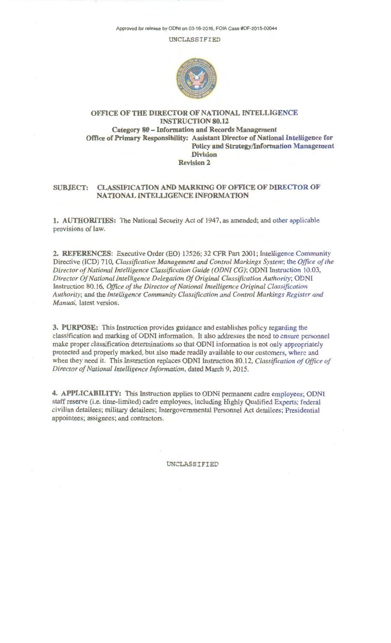Approved for release by ODNI on 03-16-2016, FOIA Case #DF-2015-00044

UNCLASSIFIED



# OFFICE OF THE DIRECTOR OF NATIONAL INTELLIGENCE INSTRUCTION 80.12 Category 80 - Information and Records Management Office of Primary Responsibility: Assistant Director of National Intelligence for Policy and Strategy/Information Management Division Revision 2

# SUBJECT: CLASSIFICATION AND MARKING OF OFFICE OF DIRECTOR OF NATIONAL INTELLIGENCE INFORMATION

1. AUTHORITIES: The National Security Act of 1947, as amended; and other applicable provisions of law.

2. REFERENCES: Executive Order (EO) 13526; 32 CFR Part 2001; Intelligence Community Directive (ICD) 710, *Classification Management and Control Markings System;* the *Office of the Director of National Intelligence Classification Guide (ODNI CG);* ODNI Instruction 10.03, *Director Of National Intelligence Delegation Of Original Classification Authority;* ODNI Instruction 80.16, *Office of the Director of National Intelligence Original Classification Authority;* and the *Intelligence Community Classification and Control Markings Register and Manual,* latest version.

3. PURPOSE: This Instruction provides guidance and establishes policy regarding the classification and marking of ODNI information. It also addresses the need to ensure personnel make proper classification determinations so that ODNI information is not only appropriately protected and properly marked, but also made readily available to our customers, where and when they need it. This Instruction replaces ODNI Instruction 80.12, *Classification of Office of Director of National Intelligence Information,* dated March 9, 2015.

4. APPLICABILITY: This Instruction applies to ODNI permanent cadre employees; ODNI staff reserve (i.e. time-limited) cadre employees, including Highly Qualified Experts; federal civilian detailees; military detailees; Intergovernmental Personnel Act detailees; Presidential appointees; assignees; and contractors.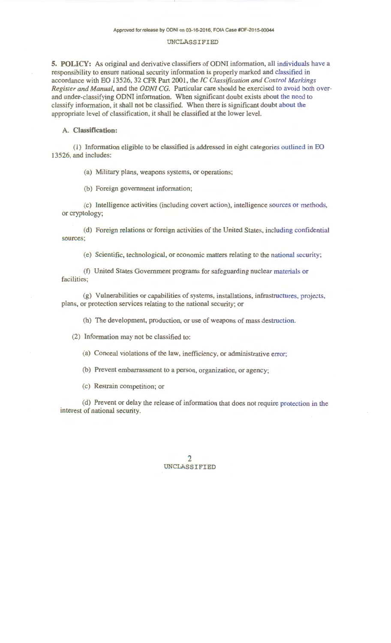**5. POLICY:** As original and derivative classifiers of ODNI information, all individuals have a responsibility to ensure national security information is properly marked and classified in accordance with EO 13526, 32 CFR Part 2001, the *IC Classification and Control Markings Register and Manual,* and the *ODNI CG.* Particular care should be exercised to avoid both overand under-classifying ODNI information. When significant doubt exists about the need to classify information, it shall not be classified. When there is significant doubt about the appropriate level of classification, it shall be classified at the lower level.

## A. **Classification:**

( 1) Information eligible to be classified is addressed in eight categories outlined in EO 13526, and includes:

(a) Military plans, weapons systems, or operations;

(b) Foreign government information;

(c) Intelligence activities (including covert action), intelligence sources or methods, or cryptology;

(d) Foreign relations or foreign activities of the United States, including confidential sources;

(e) Scientific, technological, or economic matters relating to the national security;

(f) United States Government programs for safeguarding nuclear materials or facilities;

(g) Vulnerabilities or capabilities of systems, installations, infrastructures, projects, plans, or protection services relating to the national security; or

(h) The development, production, or use of weapons of mass destruction.

(2) Information may not be classified to:

(a) Conceal violations of the law, inefficiency, or administrative error;

(b) Prevent embarrassment to a person, organization, or agency;

(c) Restrain competition; or

(d) Prevent or delay the release of information that does not require protection in the interest of national security.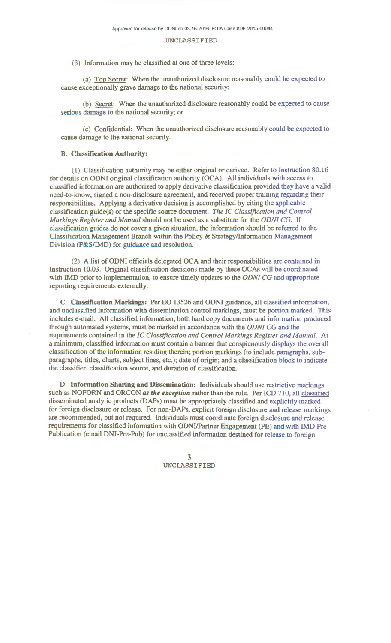(3) Information may be classified at one of three levels:

(a) Top Secret: When the unauthorized disclosure reasonably could be expected to cause exceptionally grave damage to the national security;

(b) Secret: When the unauthorized disclosure reasonably could be expected to cause serious damage to the national security; or

(c) Confidential: When the unauthorized disclosure reasonably could be expected to cause damage to the national security.

## B. Classification Authority:

(1) Classification authority may be either original or derived. Refer to Instruction 80.16 for details on ODNI original classification authority (OCA). All individuals with access to classified information are authorized to apply derivative classification provided they have a valid need-to-know, signed a non-disclosure agreement, and received proper training regarding their responsibilities. Applying a derivative decision is accomplished by citing the applicable classification guide(s) or the specific source document. *The IC Classification and Control Markings Register and Manual* should not be used as a substitute for the *ODNI* CG. If classification guides do not cover a given situation, the information should be referred to the Classification Management Branch within the Policy & Strategy/Information Management Division (P&S/IMD) for guidance and resolution.

(2) A list of ODNI officials delegated OCA and their responsibilities are contained in Instruction 10.03. Original classification decisions made by these OCAs will be coordinated with IMD prior to implementation, to ensure timely updates to the *ODNI CG* and appropriate reporting requirements externally.

C. Classification Markings: Per EO 13526 and ODNI guidance, all classified information, and unclassified information with dissemination control markings; must be portion marked. This includes e-mail. All classified information, both hard copy documents and information produced through automated systems, must be marked in accordance with the *ODNI CG* and the requirements contained in the *IC Classification and Control Markings Register and Manual.* At a minimum, classified information must contain a banner that conspicuously displays the overall classification of the information residing therein; portion markings (to include paragraphs, subparagraphs, titles, charts, subject lines, etc.); date of origin; and a classification block to indicate the classifier, classification source, and duration of classification.

D. Information Sharing and Dissemination: Individuals should use restrictive markings such as NOFORN and ORCON *as the exception* rather than the rule. Per ICD 710, all classified disseminated analytic products (DAPs) must be appropriately classified and explicitly marked for foreign disclosure or release. For non-DAPs, explicit foreign disclosure and release markings are recommended, but not required. Individuals must coordinate foreign disclosure and release requirements for classified information with ODNI/Partner Engagement (PE) and with IMD Pre-Publication (email DNI-Pre-Pub) for unclassified information destined for release to foreign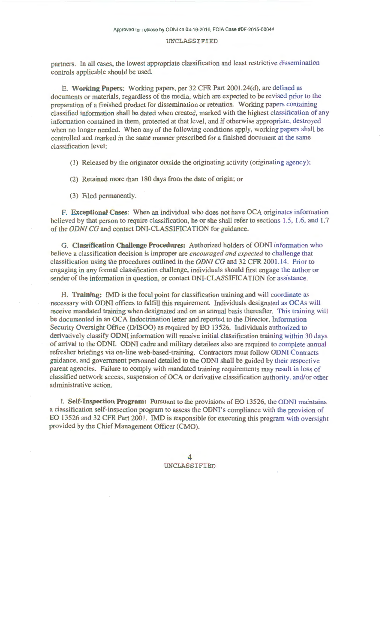partners. In all cases, the lowest appropriate classification and least restrictive dissemination controls applicable should be used.

E. Working Papers: Working papers, per 32 CFR Part 2001.24(d), are defined as documents or materials, regardless of the media, which are expected to be revised prior to the preparation of a finished product for dissemination or retention. Working papers containing classified information shall be dated when created, marked with the highest classification of any information contained in them, protected at that level, and if otherwise appropriate, destroyed when no longer needed. When any of the following conditions apply, working papers shall be controlled and marked in the same manner prescribed for a finished document at the same classification level:

(1) Released by the originator outside the originating activity (originating agency);

(2) Retained more than 180 days from the date of origin; or

(3) Filed permanently.

F. Exceptional Cases: When an individual who does not have OCA originates information believed by that person to require classification, he or she shall refer to sections 1.5, 1.6, and 1.7 of the *ODNI CG* and contact DNI-CLASSIFICA TION for guidance.

G. Classification Challenge Procedures: Authorized holders of ODNI information who believe a classification decision is improper are *encouraged and expected* to challenge that classification using the procedures outlined in the *ODNI* CG and 32 CFR 2001.14. Prior to engaging in any formal classification challenge, individuals should first engage the author or sender of the information in question, or contact DNI-CLASSIFICATION for assistance.

H. Training: IMD is the focal point for classification training and will coordinate as necessary with ODNI offices to fulfill this requirement. Individuals designated as OCAs will receive mandated training when designated and on an annual basis thereafter. This training will he documented in an OCA Indoctrination letter and reported to the Director, Information Security Oversight Office (D/ISOO) as required by EO 13526. Individuals authorized to derivatively classify ODNI information will receive initial classification training within 30 days of arrival to the ODNI. ODNI cadre and military detailees also are required to complete annual refresher briefings via on-line web-based-training. Contractors must follow ODNI Contracts guidance, and government personnel detailed to the ODNI shall be guided by their respective parent agencies. Failure to comply with mandated training requirements may result in loss of classified network access, suspension of OCA or derivative classification authority, and/or other administrative action.

I. Self-Inspection Program: Pursuant to the provisions of EO 13526, the ODNI maintains a classification self-inspection program to assess the ODNI's compliance with the provision of EO 13526 and 32 CFR Part 2001. IMD is responsible for executing this program with oversight provided by the Chief Management Officer (CMO).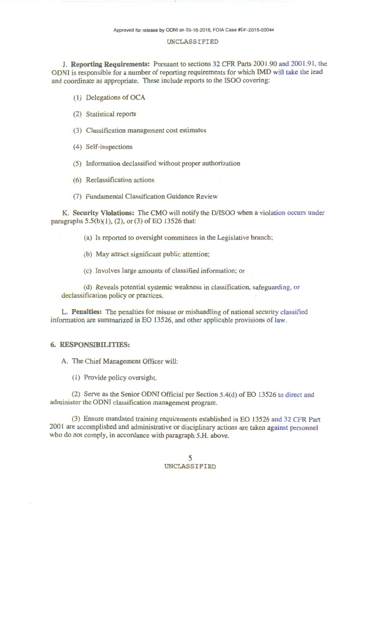J. **Reporting Requirements:** Pursuant to sections 32 CFR Parts 2001.90 and 2001.91, the ODNI is responsible for a number of reporting requirements for which IMD will take the lead and coordinate as appropriate. These include reports to the ISOO covering:

( **1)** Delegations of OCA

(2) Statistical reports

(3) Classification management cost estimates

(4) Self-inspections

(5) Information declassified without proper authorization

(6) Reclassification actions

(7) Fundamental Classification Guidance Review

K. **Security Violations:** The CMO will notify the D/ISOO when a violation occurs under paragraphs  $5.5(b)(1)$ ,  $(2)$ , or  $(3)$  of EO 13526 that:

(a) Is reported to oversight committees in the Legislative branch;

(b) May attract significant public attention;

(c) Involves large amounts of classified information; or

(d) Reveals potential systemic weakness in classification, safeguarding, or declassification policy or practices.

L. **Penalties:** The penalties for misuse or mishandling of national security classified information are summarized in EO 13526, and other applicable provisions of law.

## **6. RESPONSIBILITIES:**

A. The Chief Management Officer will:

( 1) Provide policy oversight.

(2) Serve as the Senior ODNI Official per Section 5.4(d) of EO 13526 to direct and administer the ODNI classification management program.

(3) Ensure mandated training requirements established in EO 13526 and 32 CFR Part 2001 are accomplished and administrative or disciplinary actions are taken against personnel who do not comply, in accordance with paragraph 5.H. above.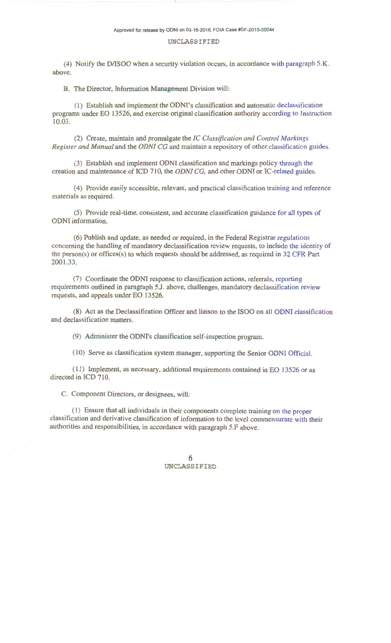(4) Notify the D/ISOO when a security violation occurs, in accordance with paragraph 5.K. above.

B. The Director, Information Management Division will:

(1) Establish and implement the ODNI's classification and automatic declassification programs under EO 13526, and exercise original classification authority according to Instruction 10.03.

(2) Create, maintain and promulgate the *IC Classification and Control Markings Register and Manual* and the *ODNI CG* and maintain a repository of other classification guides.

(3) Establish and implement ODNI classification and markings policy through the creation and maintenance of ICD 710, the *ODNI CG,* and other ODNI or IC-related guides.

(4) Provide easily accessible, relevant, and practical classification training and reference materials as required.

(5) Provide real-time, consistent, and accurate classification guidance for all types of ODNI information.

(6) Publish and update, as needed or required, in the Federal Registrar regulations concerning the handling of mandatory declassification review requests, to include the identity of the person(s) or offices(s) to which requests should be addressed, as required in 32 CFR Part 2001.33.

(7) Coordinate the ODNI response to classification actions, referrals, reporting requirements outlined in paragraph 5.J. above, challenges, mandatory declassification review requests, and appeals under EO 13526.

(8) Act as the Declassification Officer and liaison to the ISOO on all ODNI classification and declassification matters.

(9) Administer the ODNI's classification self-inspection program.

(10) Serve as classification system manager, supporting the Senior ODNI Official.

(11) Implement, as necessary, additional requirements contained in EO 13526 or as directed in ICD 710.

C. Component Directors, or designees, will:

(1 ) Ensure that all individuals in their components complete training on the proper classification and derivative classification of information to the level commensurate with their authorities and responsibilities, in accordance with paragraph 5.F above.

> 6 UNCLASSIFIED